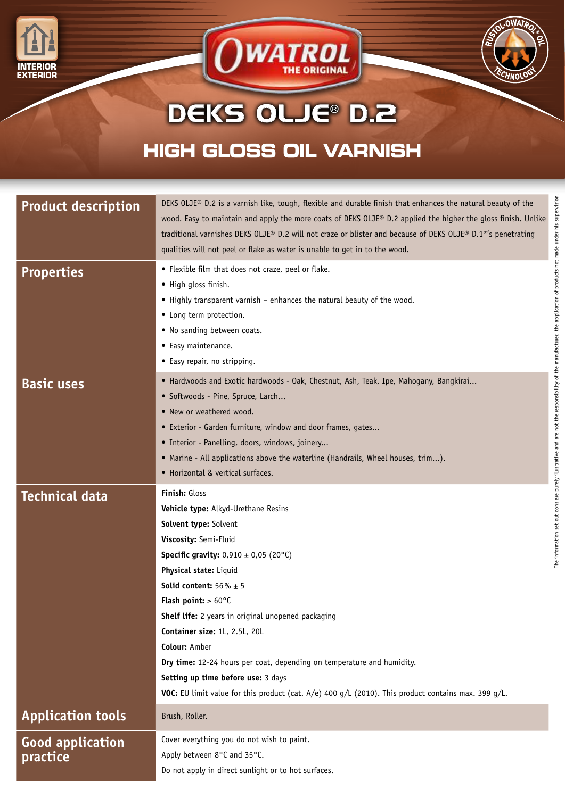



## **HIGH GLOSS OIL VARNISH** DEKS OLJE® D.2

**WATROL** 

| <b>Product description</b>          | DEKS OLJE® D.2 is a varnish like, tough, flexible and durable finish that enhances the natural beauty of the<br>wood. Easy to maintain and apply the more coats of DEKS OLJE® D.2 applied the higher the gloss finish. Unlike<br>traditional varnishes DEKS OLJE® D.2 will not craze or blister and because of DEKS OLJE® D.1*'s penetrating<br>qualities will not peel or flake as water is unable to get in to the wood.                                                                                                                                                                                                          |
|-------------------------------------|-------------------------------------------------------------------------------------------------------------------------------------------------------------------------------------------------------------------------------------------------------------------------------------------------------------------------------------------------------------------------------------------------------------------------------------------------------------------------------------------------------------------------------------------------------------------------------------------------------------------------------------|
| <b>Properties</b>                   | application of products not made under his supe<br>• Flexible film that does not craze, peel or flake.<br>• High gloss finish.<br>• Highly transparent varnish - enhances the natural beauty of the wood.<br>• Long term protection.<br>. No sanding between coats.<br>• Easy maintenance.<br>• Easy repair, no stripping.                                                                                                                                                                                                                                                                                                          |
| <b>Basic uses</b>                   | purely illustrative and are not the responsibility of the manufacturer, the<br>• Hardwoods and Exotic hardwoods - Oak, Chestnut, Ash, Teak, Ipe, Mahogany, Bangkirai<br>· Softwoods - Pine, Spruce, Larch<br>• New or weathered wood.<br>• Exterior - Garden furniture, window and door frames, gates<br>· Interior - Panelling, doors, windows, joinery<br>• Marine - All applications above the waterline (Handrails, Wheel houses, trim).<br>• Horizontal & vertical surfaces.                                                                                                                                                   |
| <b>Technical data</b>               | Finish: Gloss<br>Vehicle type: Alkyd-Urethane Resins<br>The information set out<br>Solvent type: Solvent<br>Viscosity: Semi-Fluid<br><b>Specific gravity:</b> $0,910 \pm 0,05$ (20°C)<br>Physical state: Liquid<br><b>Solid content:</b> $56\% \pm 5$<br><b>Flash point:</b> $> 60^{\circ}$ C<br>Shelf life: 2 years in original unopened packaging<br>Container size: 1L, 2.5L, 20L<br><b>Colour: Amber</b><br>Dry time: 12-24 hours per coat, depending on temperature and humidity.<br>Setting up time before use: 3 days<br>VOC: EU limit value for this product (cat. A/e) 400 g/L (2010). This product contains max. 399 g/L. |
| <b>Application tools</b>            | Brush, Roller.                                                                                                                                                                                                                                                                                                                                                                                                                                                                                                                                                                                                                      |
| <b>Good application</b><br>practice | Cover everything you do not wish to paint.<br>Apply between 8°C and 35°C.<br>Do not apply in direct sunlight or to hot surfaces.                                                                                                                                                                                                                                                                                                                                                                                                                                                                                                    |